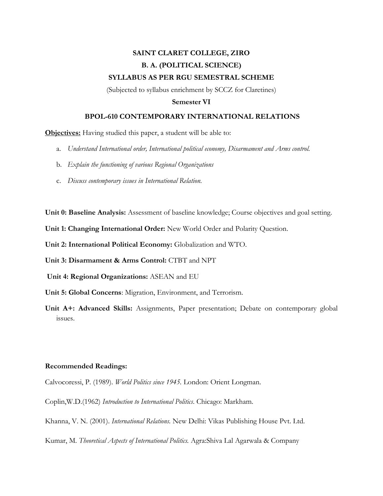## **SAINT CLARET COLLEGE, ZIRO B. A. (POLITICAL SCIENCE) SYLLABUS AS PER RGU SEMESTRAL SCHEME**

(Subjected to syllabus enrichment by SCCZ for Claretines)

## **Semester VI**

## **BPOL-610 CONTEMPORARY INTERNATIONAL RELATIONS**

**Objectives:** Having studied this paper, a student will be able to:

- a. *Understand International order, International political economy, Disarmament and Arms control.*
- b. *Explain the functioning of various Regional Organizations*
- c. *Discuss contemporary issues in International Relation.*

**Unit 0: Baseline Analysis:** Assessment of baseline knowledge; Course objectives and goal setting.

**Unit 1: Changing International Order:** New World Order and Polarity Question.

**Unit 2: International Political Economy:** Globalization and WTO.

**Unit 3: Disarmament & Arms Control:** CTBT and NPT

**Unit 4: Regional Organizations:** ASEAN and EU

- **Unit 5: Global Concerns**: Migration, Environment, and Terrorism.
- **Unit A+: Advanced Skills:** Assignments, Paper presentation; Debate on contemporary global issues.

## **Recommended Readings:**

Calvocoressi, P. (1989). *World Politics since 1945.* London: Orient Longman.

Coplin,W.D.(1962) *Introduction to International Politics*. Chicago: Markham.

Khanna, V. N. (2001). *International Relations.* New Delhi: Vikas Publishing House Pvt. Ltd.

Kumar, M. *Theoretical Aspects of International Politics.* Agra:Shiva Lal Agarwala & Company